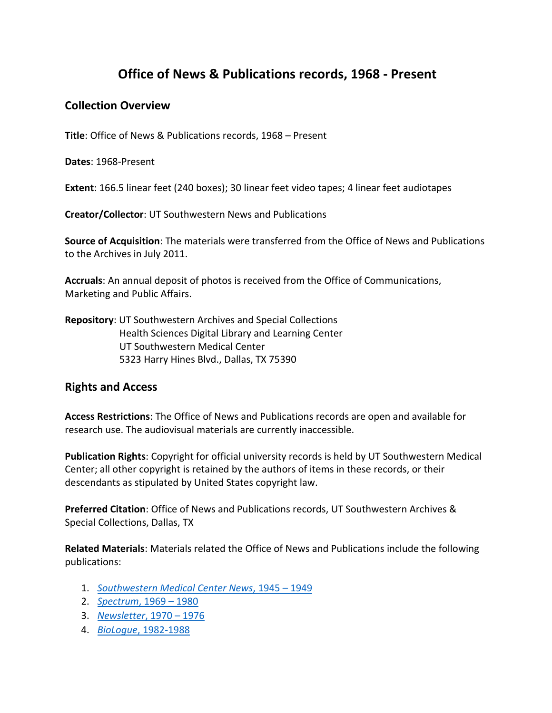## **Office of News & Publications records, 1968 - Present**

## **Collection Overview**

**Title**: Office of News & Publications records, 1968 – Present

**Dates**: 1968-Present

**Extent**: 166.5 linear feet (240 boxes); 30 linear feet video tapes; 4 linear feet audiotapes

**Creator/Collector**: UT Southwestern News and Publications

**Source of Acquisition**: The materials were transferred from the Office of News and Publications to the Archives in July 2011.

**Accruals**: An annual deposit of photos is received from the Office of Communications, Marketing and Public Affairs.

**Repository**: UT Southwestern Archives and Special Collections Health Sciences Digital Library and Learning Center UT Southwestern Medical Center 5323 Harry Hines Blvd., Dallas, TX 75390

## **Rights and Access**

**Access Restrictions**: The Office of News and Publications records are open and available for research use. The audiovisual materials are currently inaccessible.

**Publication Rights**: Copyright for official university records is held by UT Southwestern Medical Center; all other copyright is retained by the authors of items in these records, or their descendants as stipulated by United States copyright law.

**Preferred Citation**: Office of News and Publications records, UT Southwestern Archives & Special Collections, Dallas, TX

**Related Materials**: Materials related the Office of News and Publications include the following publications:

- 1. *[Southwestern Medical Center News](https://utswmed-ir.tdl.org/handle/2152.5/4251)*, 1945 1949
- 2. *[Spectrum](https://utswmed-ir.tdl.org/handle/2152.5/4253)*, 1969 1980
- 3. *[Newsletter](https://utswmed-ir.tdl.org/handle/2152.5/4248)*, 1970 1976
- 4. *BioLogue*[, 1982-1988](https://utswmed-ir.tdl.org/handle/2152.5/4252)